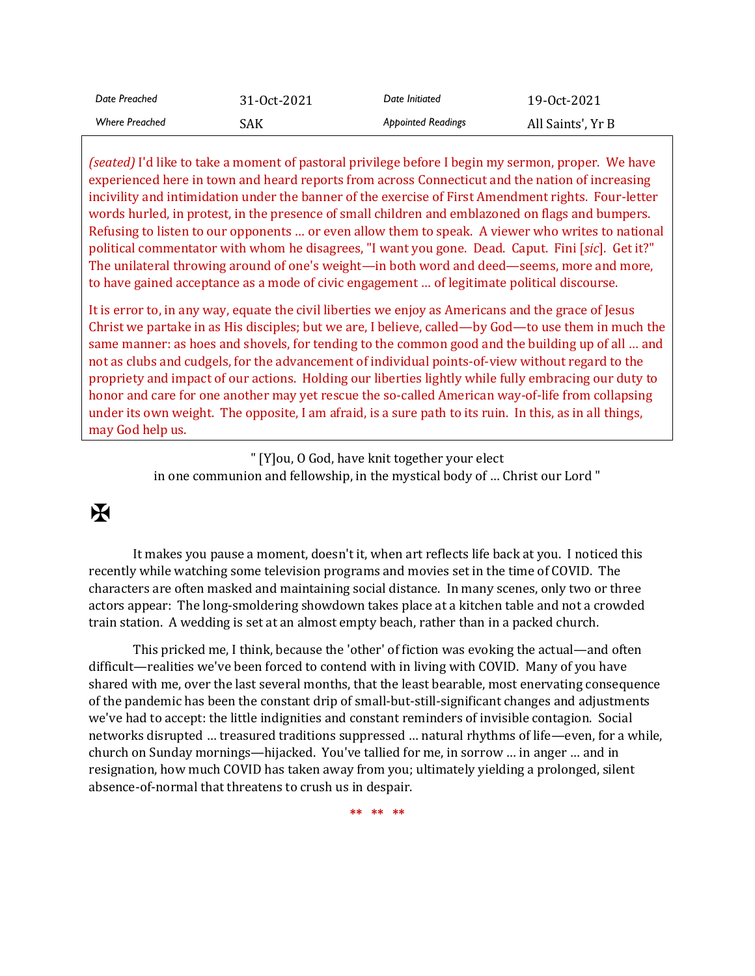| Date Preached         | 31-Oct-2021 | Date Initiated            | 19-0ct-2021       |
|-----------------------|-------------|---------------------------|-------------------|
| <b>Where Preached</b> | SAK         | <b>Appointed Readings</b> | All Saints', Yr B |

*(seated)* I'd like to take a moment of pastoral privilege before I begin my sermon, proper. We have experienced here in town and heard reports from across Connecticut and the nation of increasing incivility and intimidation under the banner of the exercise of First Amendment rights. Four-letter words hurled, in protest, in the presence of small children and emblazoned on flags and bumpers. Refusing to listen to our opponents … or even allow them to speak. A viewer who writes to national political commentator with whom he disagrees, "I want you gone. Dead. Caput. Fini [*sic*]. Get it?" The unilateral throwing around of one's weight—in both word and deed—seems, more and more, to have gained acceptance as a mode of civic engagement … of legitimate political discourse.

It is error to, in any way, equate the civil liberties we enjoy as Americans and the grace of Jesus Christ we partake in as His disciples; but we are, I believe, called—by God—to use them in much the same manner: as hoes and shovels, for tending to the common good and the building up of all … and not as clubs and cudgels, for the advancement of individual points-of-view without regard to the propriety and impact of our actions. Holding our liberties lightly while fully embracing our duty to honor and care for one another may yet rescue the so-called American way-of-life from collapsing under its own weight. The opposite, I am afraid, is a sure path to its ruin. In this, as in all things, may God help us.

> " [Y]ou, O God, have knit together your elect in one communion and fellowship, in the mystical body of … Christ our Lord "

## $\mathbf H$

It makes you pause a moment, doesn't it, when art reflects life back at you. I noticed this recently while watching some television programs and movies set in the time of COVID. The characters are often masked and maintaining social distance. In many scenes, only two or three actors appear: The long-smoldering showdown takes place at a kitchen table and not a crowded train station. A wedding is set at an almost empty beach, rather than in a packed church.

This pricked me, I think, because the 'other' of fiction was evoking the actual—and often difficult—realities we've been forced to contend with in living with COVID. Many of you have shared with me, over the last several months, that the least bearable, most enervating consequence of the pandemic has been the constant drip of small-but-still-significant changes and adjustments we've had to accept: the little indignities and constant reminders of invisible contagion. Social networks disrupted … treasured traditions suppressed … natural rhythms of life—even, for a while, church on Sunday mornings—hijacked. You've tallied for me, in sorrow … in anger … and in resignation, how much COVID has taken away from you; ultimately yielding a prolonged, silent absence-of-normal that threatens to crush us in despair.

**\*\* \*\* \*\***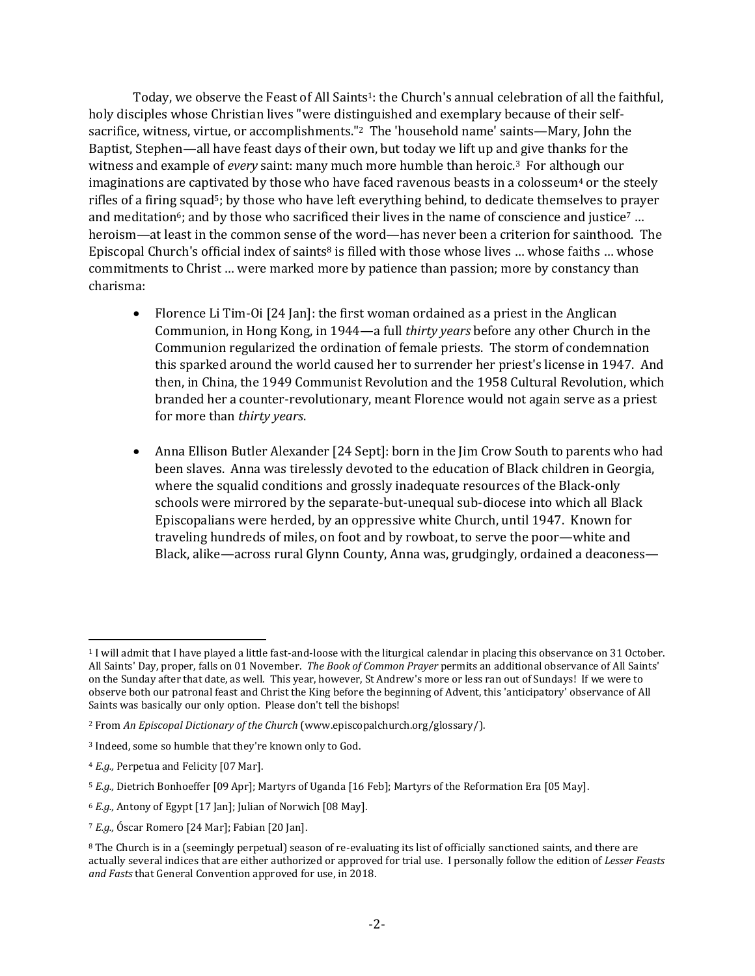Today, we observe the Feast of All Saints<sup>1</sup>: the Church's annual celebration of all the faithful, holy disciples whose Christian lives "were distinguished and exemplary because of their selfsacrifice, witness, virtue, or accomplishments."<sup>2</sup> The 'household name' saints—Mary, John the Baptist, Stephen—all have feast days of their own, but today we lift up and give thanks for the witness and example of *every* saint: many much more humble than heroic.3 For although our imaginations are captivated by those who have faced ravenous beasts in a colosseum $4$  or the steely rifles of a firing squad<sup>5</sup>; by those who have left everything behind, to dedicate themselves to prayer and meditation<sup>6</sup>; and by those who sacrificed their lives in the name of conscience and justice<sup>7</sup> ... heroism—at least in the common sense of the word—has never been a criterion for sainthood. The Episcopal Church's official index of saints<sup>8</sup> is filled with those whose lives ... whose faiths ... whose commitments to Christ … were marked more by patience than passion; more by constancy than charisma:

- Florence Li Tim-Oi [24 Jan]: the first woman ordained as a priest in the Anglican Communion, in Hong Kong, in 1944—a full *thirty years* before any other Church in the Communion regularized the ordination of female priests. The storm of condemnation this sparked around the world caused her to surrender her priest's license in 1947. And then, in China, the 1949 Communist Revolution and the 1958 Cultural Revolution, which branded her a counter-revolutionary, meant Florence would not again serve as a priest for more than *thirty years*.
- Anna Ellison Butler Alexander [24 Sept]: born in the Jim Crow South to parents who had been slaves. Anna was tirelessly devoted to the education of Black children in Georgia, where the squalid conditions and grossly inadequate resources of the Black-only schools were mirrored by the separate-but-unequal sub-diocese into which all Black Episcopalians were herded, by an oppressive white Church, until 1947. Known for traveling hundreds of miles, on foot and by rowboat, to serve the poor—white and Black, alike—across rural Glynn County, Anna was, grudgingly, ordained a deaconess—

<sup>1</sup> I will admit that I have played a little fast-and-loose with the liturgical calendar in placing this observance on 31 October. All Saints' Day, proper, falls on 01 November. *The Book of Common Prayer* permits an additional observance of All Saints' on the Sunday after that date, as well. This year, however, St Andrew's more or less ran out of Sundays! If we were to observe both our patronal feast and Christ the King before the beginning of Advent, this 'anticipatory' observance of All Saints was basically our only option. Please don't tell the bishops!

<sup>2</sup> From *An Episcopal Dictionary of the Church* (www.episcopalchurch.org/glossary/).

<sup>3</sup> Indeed, some so humble that they're known only to God.

<sup>4</sup> *E.g.,* Perpetua and Felicity [07 Mar].

<sup>5</sup> *E.g.,* Dietrich Bonhoeffer [09 Apr]; Martyrs of Uganda [16 Feb]; Martyrs of the Reformation Era [05 May].

<sup>6</sup> *E.g.,* Antony of Egypt [17 Jan]; Julian of Norwich [08 May].

<sup>7</sup> *E.g.,* Óscar Romero [24 Mar]; Fabian [20 Jan].

<sup>&</sup>lt;sup>8</sup> The Church is in a (seemingly perpetual) season of re-evaluating its list of officially sanctioned saints, and there are actually several indices that are either authorized or approved for trial use. I personally follow the edition of *Lesser Feasts and Fasts* that General Convention approved for use, in 2018.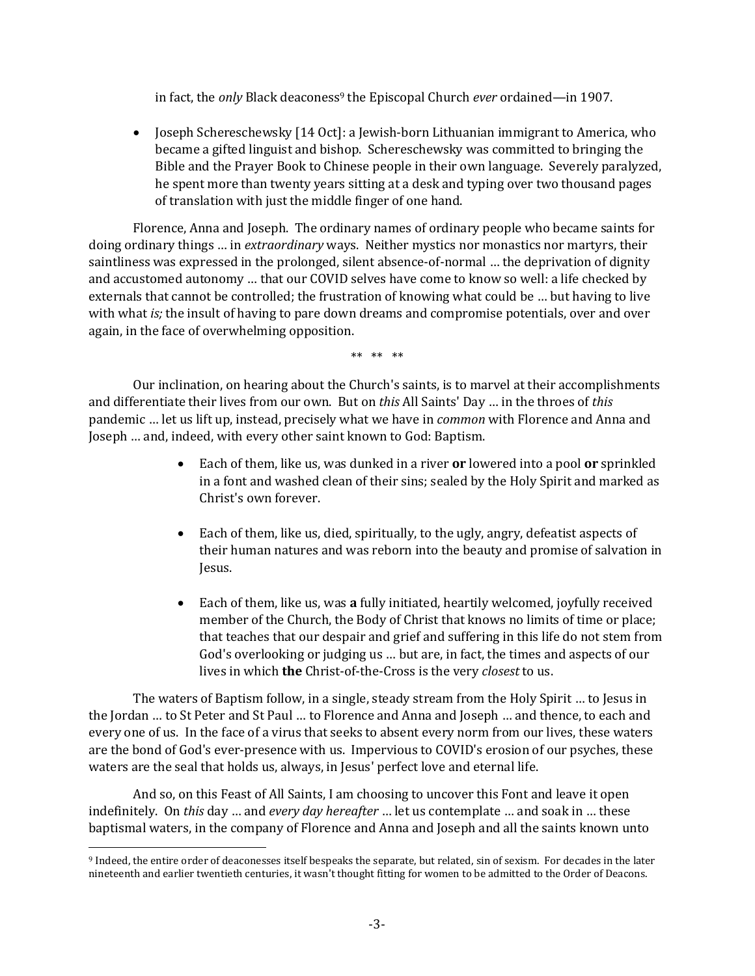in fact, the *only* Black deaconess<sup>9</sup> the Episcopal Church *ever* ordained—in 1907.

• Joseph Schereschewsky [14 Oct]: a Jewish-born Lithuanian immigrant to America, who became a gifted linguist and bishop. Schereschewsky was committed to bringing the Bible and the Prayer Book to Chinese people in their own language. Severely paralyzed, he spent more than twenty years sitting at a desk and typing over two thousand pages of translation with just the middle finger of one hand.

Florence, Anna and Joseph. The ordinary names of ordinary people who became saints for doing ordinary things … in *extraordinary* ways. Neither mystics nor monastics nor martyrs, their saintliness was expressed in the prolonged, silent absence-of-normal … the deprivation of dignity and accustomed autonomy … that our COVID selves have come to know so well: a life checked by externals that cannot be controlled; the frustration of knowing what could be … but having to live with what *is;* the insult of having to pare down dreams and compromise potentials, over and over again, in the face of overwhelming opposition.

\*\* \*\* \*\*

Our inclination, on hearing about the Church's saints, is to marvel at their accomplishments and differentiate their lives from our own. But on *this* All Saints' Day … in the throes of *this* pandemic … let us lift up, instead, precisely what we have in *common* with Florence and Anna and Joseph … and, indeed, with every other saint known to God: Baptism.

- Each of them, like us, was dunked in a river **or** lowered into a pool **or** sprinkled in a font and washed clean of their sins; sealed by the Holy Spirit and marked as Christ's own forever.
- Each of them, like us, died, spiritually, to the ugly, angry, defeatist aspects of their human natures and was reborn into the beauty and promise of salvation in Jesus.
- Each of them, like us, was **a** fully initiated, heartily welcomed, joyfully received member of the Church, the Body of Christ that knows no limits of time or place; that teaches that our despair and grief and suffering in this life do not stem from God's overlooking or judging us … but are, in fact, the times and aspects of our lives in which **the** Christ-of-the-Cross is the very *closest* to us.

The waters of Baptism follow, in a single, steady stream from the Holy Spirit … to Jesus in the Jordan … to St Peter and St Paul … to Florence and Anna and Joseph … and thence, to each and every one of us. In the face of a virus that seeks to absent every norm from our lives, these waters are the bond of God's ever-presence with us. Impervious to COVID's erosion of our psyches, these waters are the seal that holds us, always, in Jesus' perfect love and eternal life.

And so, on this Feast of All Saints, I am choosing to uncover this Font and leave it open indefinitely. On *this* day … and *every day hereafter* … let us contemplate … and soak in … these baptismal waters, in the company of Florence and Anna and Joseph and all the saints known unto

<sup>9</sup> Indeed, the entire order of deaconesses itself bespeaks the separate, but related, sin of sexism. For decades in the later nineteenth and earlier twentieth centuries, it wasn't thought fitting for women to be admitted to the Order of Deacons.